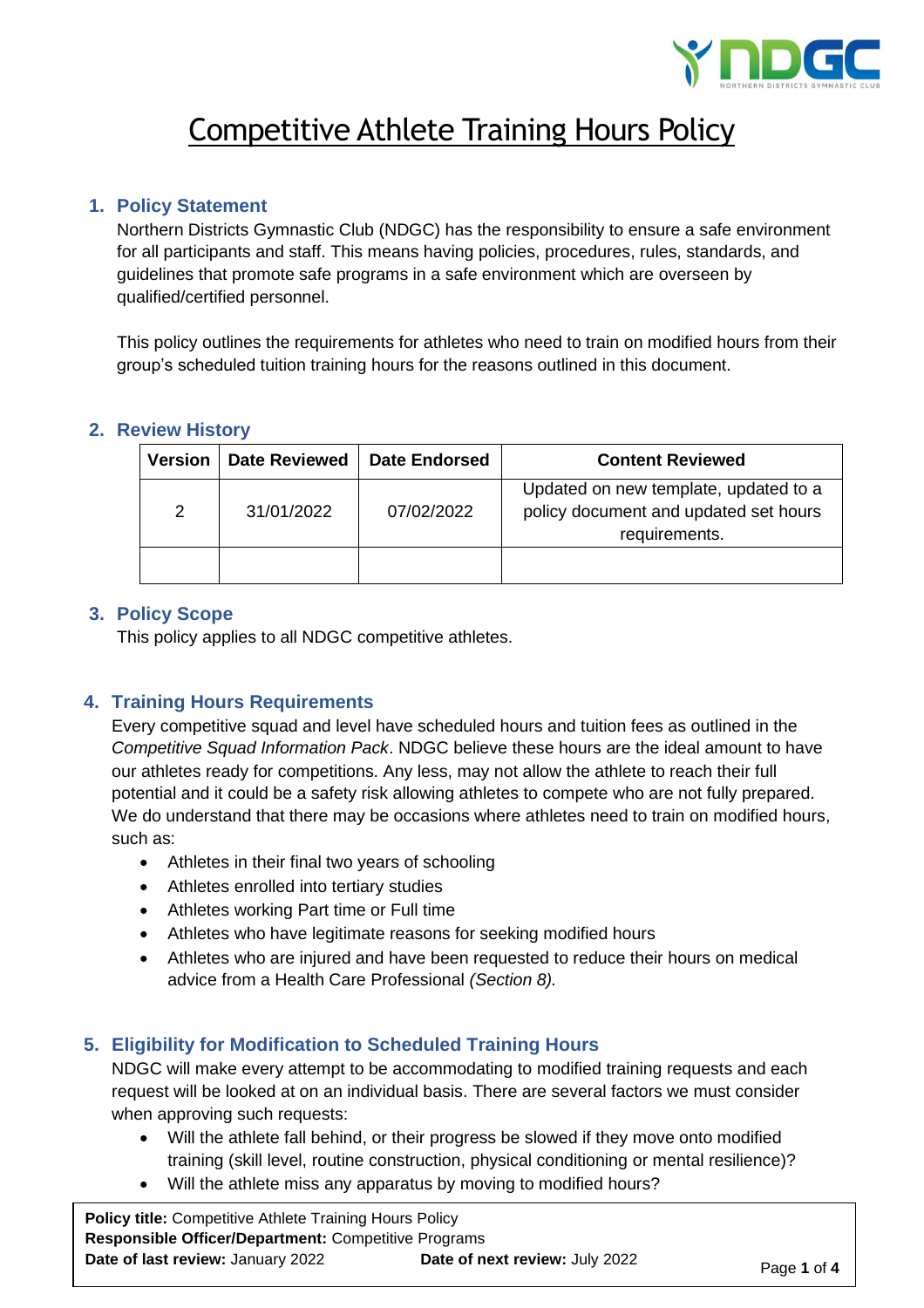

# Competitive Athlete Training Hours Policy

#### **1. Policy Statement**

Northern Districts Gymnastic Club (NDGC) has the responsibility to ensure a safe environment for all participants and staff. This means having policies, procedures, rules, standards, and guidelines that promote safe programs in a safe environment which are overseen by qualified/certified personnel.

This policy outlines the requirements for athletes who need to train on modified hours from their group's scheduled tuition training hours for the reasons outlined in this document.

#### **2. Review History**

| Version | <b>Date Reviewed</b> | <b>Date Endorsed</b> | <b>Content Reviewed</b>                                                                         |
|---------|----------------------|----------------------|-------------------------------------------------------------------------------------------------|
| 2       | 31/01/2022           | 07/02/2022           | Updated on new template, updated to a<br>policy document and updated set hours<br>requirements. |
|         |                      |                      |                                                                                                 |

#### **3. Policy Scope**

This policy applies to all NDGC competitive athletes.

## **4. Training Hours Requirements**

Every competitive squad and level have scheduled hours and tuition fees as outlined in the *Competitive Squad Information Pack*. NDGC believe these hours are the ideal amount to have our athletes ready for competitions. Any less, may not allow the athlete to reach their full potential and it could be a safety risk allowing athletes to compete who are not fully prepared. We do understand that there may be occasions where athletes need to train on modified hours, such as:

- Athletes in their final two years of schooling
- Athletes enrolled into tertiary studies
- Athletes working Part time or Full time
- Athletes who have legitimate reasons for seeking modified hours
- Athletes who are injured and have been requested to reduce their hours on medical advice from a Health Care Professional *(Section 8).*

## **5. Eligibility for Modification to Scheduled Training Hours**

NDGC will make every attempt to be accommodating to modified training requests and each request will be looked at on an individual basis. There are several factors we must consider when approving such requests:

- Will the athlete fall behind, or their progress be slowed if they move onto modified training (skill level, routine construction, physical conditioning or mental resilience)?
- Will the athlete miss any apparatus by moving to modified hours?

**Policy title:** Competitive Athlete Training Hours Policy **Responsible Officer/Department:** Competitive Programs **Date of last review:** January 2022 **Date of next review:** July 2022 **Page 1 of 4**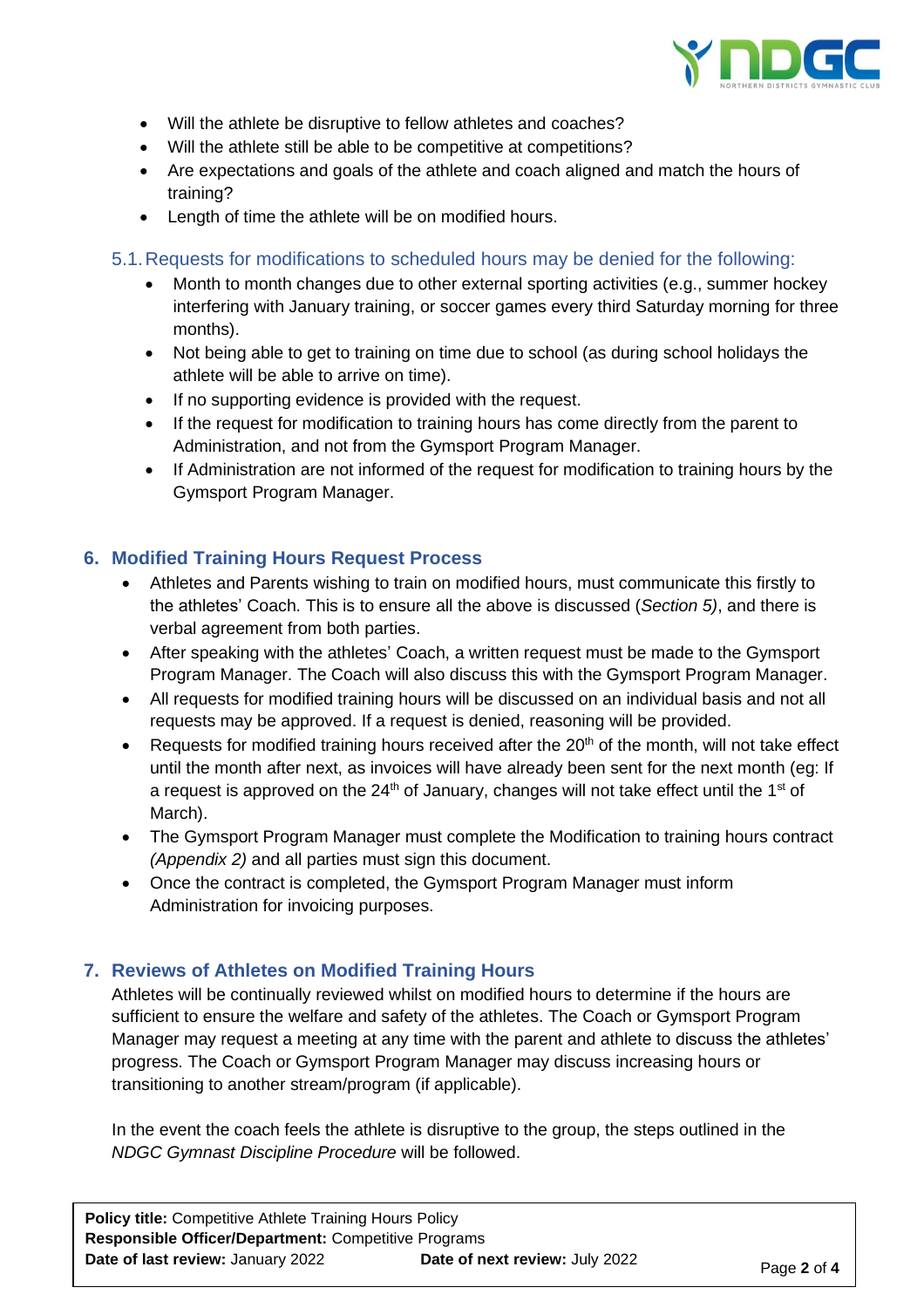

- Will the athlete be disruptive to fellow athletes and coaches?
- Will the athlete still be able to be competitive at competitions?
- Are expectations and goals of the athlete and coach aligned and match the hours of training?
- Length of time the athlete will be on modified hours.

#### 5.1.Requests for modifications to scheduled hours may be denied for the following:

- Month to month changes due to other external sporting activities (e.g., summer hockey interfering with January training, or soccer games every third Saturday morning for three months).
- Not being able to get to training on time due to school (as during school holidays the athlete will be able to arrive on time).
- If no supporting evidence is provided with the request.
- If the request for modification to training hours has come directly from the parent to Administration, and not from the Gymsport Program Manager.
- If Administration are not informed of the request for modification to training hours by the Gymsport Program Manager.

#### **6. Modified Training Hours Request Process**

- Athletes and Parents wishing to train on modified hours, must communicate this firstly to the athletes' Coach. This is to ensure all the above is discussed (*Section 5)*, and there is verbal agreement from both parties.
- After speaking with the athletes' Coach, a written request must be made to the Gymsport Program Manager. The Coach will also discuss this with the Gymsport Program Manager.
- All requests for modified training hours will be discussed on an individual basis and not all requests may be approved. If a request is denied, reasoning will be provided.
- Requests for modified training hours received after the 20<sup>th</sup> of the month, will not take effect until the month after next, as invoices will have already been sent for the next month (eg: If a request is approved on the  $24<sup>th</sup>$  of January, changes will not take effect until the 1<sup>st</sup> of March).
- The Gymsport Program Manager must complete the Modification to training hours contract *(Appendix 2)* and all parties must sign this document.
- Once the contract is completed, the Gymsport Program Manager must inform Administration for invoicing purposes.

#### **7. Reviews of Athletes on Modified Training Hours**

Athletes will be continually reviewed whilst on modified hours to determine if the hours are sufficient to ensure the welfare and safety of the athletes. The Coach or Gymsport Program Manager may request a meeting at any time with the parent and athlete to discuss the athletes' progress. The Coach or Gymsport Program Manager may discuss increasing hours or transitioning to another stream/program (if applicable).

In the event the coach feels the athlete is disruptive to the group, the steps outlined in the *NDGC Gymnast Discipline Procedure* will be followed.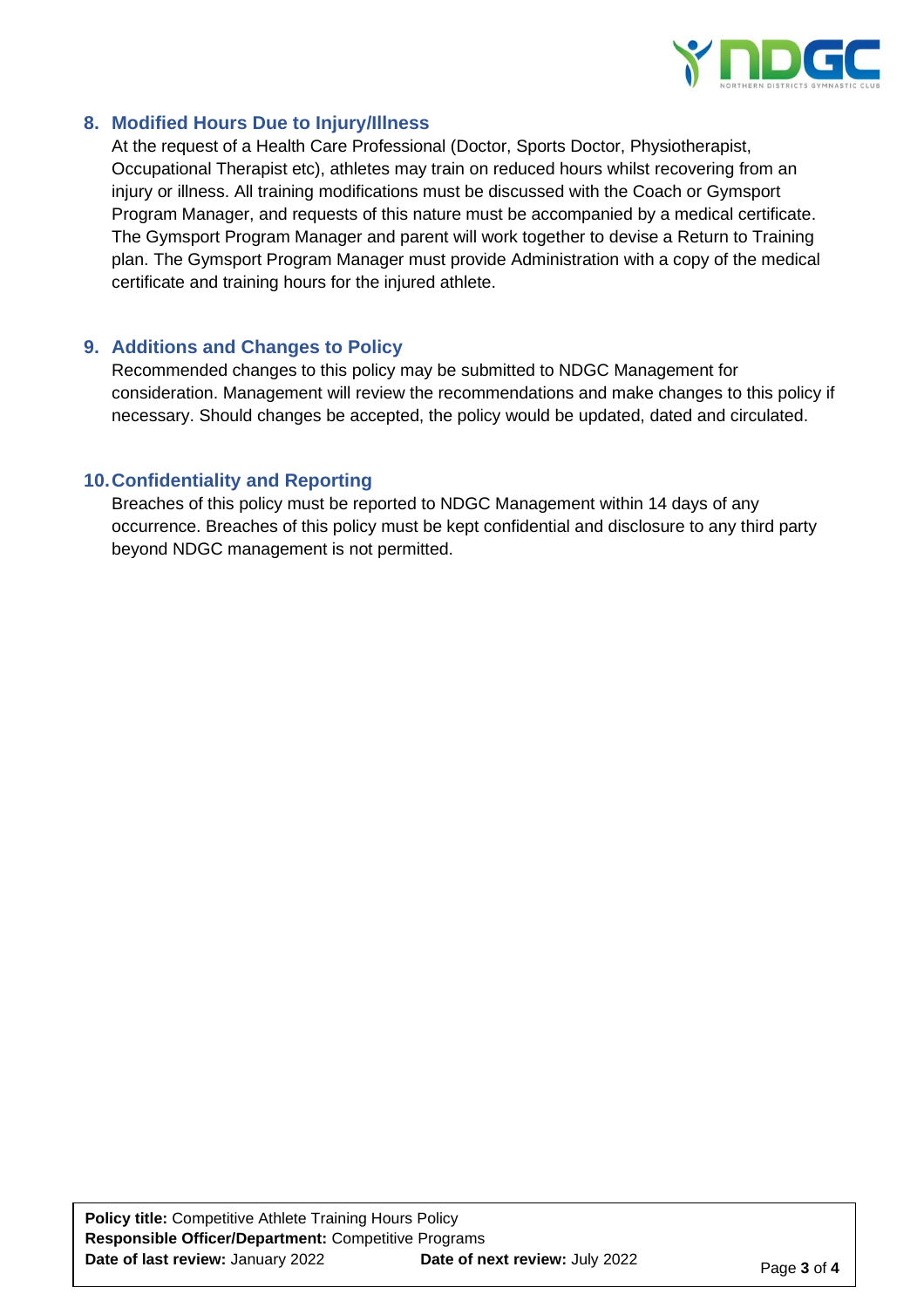

#### **8. Modified Hours Due to Injury/Illness**

At the request of a Health Care Professional (Doctor, Sports Doctor, Physiotherapist, Occupational Therapist etc), athletes may train on reduced hours whilst recovering from an injury or illness. All training modifications must be discussed with the Coach or Gymsport Program Manager, and requests of this nature must be accompanied by a medical certificate. The Gymsport Program Manager and parent will work together to devise a Return to Training plan. The Gymsport Program Manager must provide Administration with a copy of the medical certificate and training hours for the injured athlete.

#### **9. Additions and Changes to Policy**

Recommended changes to this policy may be submitted to NDGC Management for consideration. Management will review the recommendations and make changes to this policy if necessary. Should changes be accepted, the policy would be updated, dated and circulated.

#### **10.Confidentiality and Reporting**

Breaches of this policy must be reported to NDGC Management within 14 days of any occurrence. Breaches of this policy must be kept confidential and disclosure to any third party beyond NDGC management is not permitted.